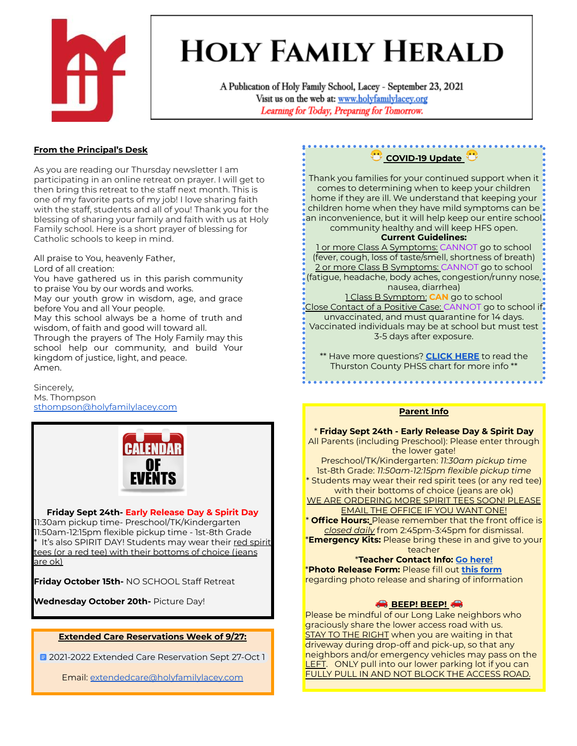

# **HOLY FAMILY HERALD**

A Publication of Holy Family School, Lacey - September 23, 2021 Visit us on the web at: www.holyfamilylacey.org Learning for Today, Preparing for Tomorrow.

# **From the Principal's Desk**

As you are reading our Thursday newsletter I am participating in an online retreat on prayer. I will get to then bring this retreat to the staff next month. This is one of my favorite parts of my job! I love sharing faith with the staff, students and all of you! Thank you for the blessing of sharing your family and faith with us at Holy Family school. Here is a short prayer of blessing for Catholic schools to keep in mind.

All praise to You, heavenly Father,

Lord of all creation:

You have gathered us in this parish community to praise You by our words and works.

May our youth grow in wisdom, age, and grace before You and all Your people.

May this school always be a home of truth and wisdom, of faith and good will toward all.

Through the prayers of The Holy Family may this school help our community, and build Your kingdom of justice, light, and peace. Amen.

Sincerely, Ms. Thompson [sthompson@holyfamilylacey.com](mailto:sthompson@holyfamilylacey.com)



#### **Friday Sept 24th- Early Release Day & Spirit Day** 11:30am pickup time- Preschool/TK/Kindergarten 11:50am-12:15pm flexible pickup time - 1st-8th Grade tit's also SPIRIT DAY! Students may wear their red spirit tees (or a red tee) with their bottoms of choice (jeans are ok)

**Friday October 15th-** NO SCHOOL Staff Retreat

**Wednesday October 20th-** Picture Day!

## **Extended Care Reservations Week of 9/27:**

**E** 2021-2022 Extended Care [Reservation](https://docs.google.com/document/d/1-T8yDCW98x43r67rnOTq5MOwqEdv4t1jw023UQwVxxA/edit?usp=sharing) Sept 27-Oct 1

Email: [extendedcare@holyfamilylacey.com](mailto:extendedcare@holyfamilylacey.com)

**COVID-19** Update

Thank you families for your continued support when it comes to determining when to keep your children home if they are ill. We understand that keeping your children home when they have mild symptoms can be an inconvenience, but it will help keep our entire school community healthy and will keep HFS open.

## **Current Guidelines:**

1 or more Class A Symptoms: CANNOT go to school (fever, cough, loss of taste/smell, shortness of breath) 2 or more Class B Symptoms: CANNOT go to school (fatigue, headache, body aches, congestion/runny nose, nausea, diarrhea)

1 Class B Symptom: **CAN** go to school Close Contact of a Positive Case: CANNOT go to school if. unvaccinated, and must quarantine for 14 days. Vaccinated individuals may be at school but must test 3-5 days after exposure.

\*\* Have more questions? **[CLICK](https://www.thurstoncountywa.gov/phss/phssdocuments/School-%20Communication%20Plan%20Chart%202021-2022.pdf) HERE** to read the Thurston County PHSS chart for more info \*\*

## **Parent Info**

\* **Friday Sept 24th - Early Release Day & Spirit Day** All Parents (including Preschool): Please enter through the lower gate! Preschool/TK/Kindergarten: *11:30am pickup time* 1st-8th Grade: *11:50am-12:15pm flexible pickup time*

\* Students may wear their red spirit tees (or any red tee) with their bottoms of choice (jeans are ok)

WE ARE ORDERING MORE SPIRIT TEES SOON! PLEASE **EMAIL THE OFFICE IF YOU WANT ONE!** 

\* **Office Hours:** Please remember that the front office is *closed daily* from 2:45pm-3:45pm for dismissal. \***Emergency Kits:** Please bring these in and give to your

teacher

# \***Teacher Contact Info: Go [here!](https://www.holyfamilylacey.org/about/faculty-staff/)**

\***Photo Release Form:** Please fill out **this [form](https://forms.gle/9gpByESrpyHMUhmW8)** regarding photo release and sharing of information

# **BEEP! BEEP!**

Please be mindful of our Long Lake neighbors who graciously share the lower access road with us. STAY TO THE RIGHT when you are waiting in that driveway during drop-off and pick-up, so that any neighbors and/or emergency vehicles may pass on the LEFT. ONLY pull into our lower parking lot if you can FULLY PULL IN AND NOT BLOCK THE ACCESS ROAD.